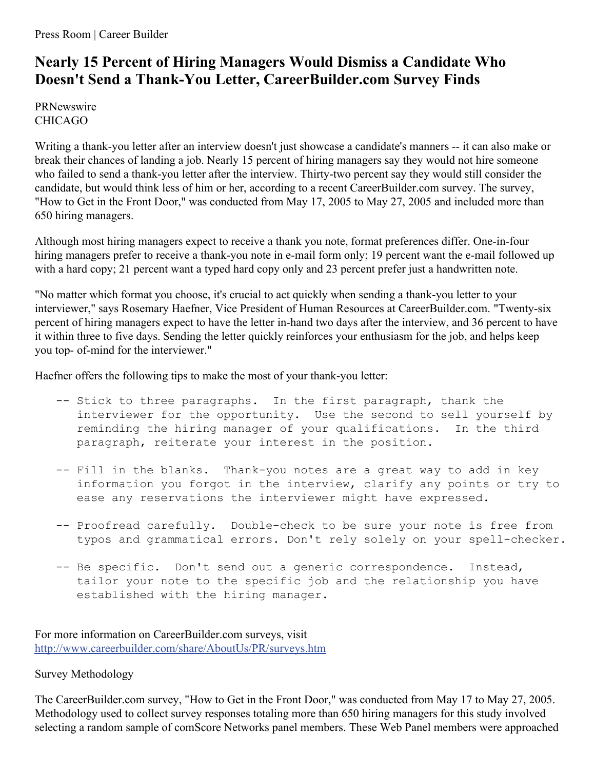## **Nearly 15 Percent of Hiring Managers Would Dismiss a Candidate Who Doesn't Send a Thank-You Letter, CareerBuilder.com Survey Finds**

PRNewswire CHICAGO

Writing a thank-you letter after an interview doesn't just showcase a candidate's manners -- it can also make or break their chances of landing a job. Nearly 15 percent of hiring managers say they would not hire someone who failed to send a thank-you letter after the interview. Thirty-two percent say they would still consider the candidate, but would think less of him or her, according to a recent CareerBuilder.com survey. The survey, "How to Get in the Front Door," was conducted from May 17, 2005 to May 27, 2005 and included more than 650 hiring managers.

Although most hiring managers expect to receive a thank you note, format preferences differ. One-in-four hiring managers prefer to receive a thank-you note in e-mail form only; 19 percent want the e-mail followed up with a hard copy; 21 percent want a typed hard copy only and 23 percent prefer just a handwritten note.

"No matter which format you choose, it's crucial to act quickly when sending a thank-you letter to your interviewer," says Rosemary Haefner, Vice President of Human Resources at CareerBuilder.com. "Twenty-six percent of hiring managers expect to have the letter in-hand two days after the interview, and 36 percent to have it within three to five days. Sending the letter quickly reinforces your enthusiasm for the job, and helps keep you top- of-mind for the interviewer."

Haefner offers the following tips to make the most of your thank-you letter:

- -- Stick to three paragraphs. In the first paragraph, thank the interviewer for the opportunity. Use the second to sell yourself by reminding the hiring manager of your qualifications. In the third paragraph, reiterate your interest in the position.
- -- Fill in the blanks. Thank-you notes are a great way to add in key information you forgot in the interview, clarify any points or try to ease any reservations the interviewer might have expressed.
- -- Proofread carefully. Double-check to be sure your note is free from typos and grammatical errors. Don't rely solely on your spell-checker.
- -- Be specific. Don't send out a generic correspondence. Instead, tailor your note to the specific job and the relationship you have established with the hiring manager.

For more information on CareerBuilder.com surveys, visit <http://www.careerbuilder.com/share/AboutUs/PR/surveys.htm>

## Survey Methodology

The CareerBuilder.com survey, "How to Get in the Front Door," was conducted from May 17 to May 27, 2005. Methodology used to collect survey responses totaling more than 650 hiring managers for this study involved selecting a random sample of comScore Networks panel members. These Web Panel members were approached